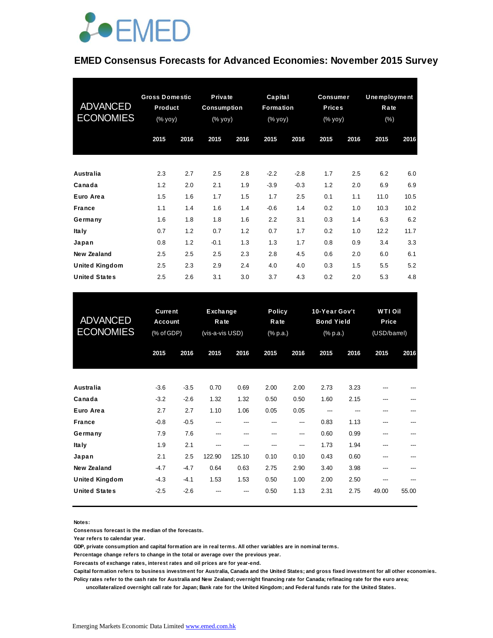

#### **EMED Consensus Forecasts for Advanced Economies: November 2015 Survey**

| <b>ADVANCED</b><br><b>ECONOMIES</b> | <b>Gross Domestic</b><br>Product<br>(% yoy) |      | Private<br><b>Consumption</b><br>(% yoy) |      | Capital<br>Formation<br>$(% \mathsf{Y}^{\prime }\mathsf{Y}^{\prime }\mathsf{Y})$ (% $\mathsf{Y}^{\prime }\mathsf{Y})$ |        | <b>Consumer</b><br><b>Prices</b><br>(% yoy) |      | Unemployment<br>Rate<br>$(\% )$ |      |
|-------------------------------------|---------------------------------------------|------|------------------------------------------|------|-----------------------------------------------------------------------------------------------------------------------|--------|---------------------------------------------|------|---------------------------------|------|
|                                     | 2015                                        | 2016 | 2015                                     | 2016 | 2015                                                                                                                  | 2016   | 2015                                        | 2016 | 2015                            | 2016 |
| Australia                           | 2.3                                         | 2.7  | 2.5                                      | 2.8  | $-2.2$                                                                                                                | $-2.8$ | 1.7                                         | 2.5  | 6.2                             | 6.0  |
| Canada                              | 1.2                                         | 2.0  | 2.1                                      | 1.9  | $-3.9$                                                                                                                | $-0.3$ | 1.2                                         | 2.0  | 6.9                             | 6.9  |
| Euro Area                           | 1.5                                         | 1.6  | 1.7                                      | 1.5  | 1.7                                                                                                                   | 2.5    | 0.1                                         | 1.1  | 11.0                            | 10.5 |
| <b>France</b>                       | 1.1                                         | 1.4  | 1.6                                      | 1.4  | $-0.6$                                                                                                                | 1.4    | 0.2                                         | 1.0  | 10.3                            | 10.2 |
| Germany                             | 1.6                                         | 1.8  | 1.8                                      | 1.6  | 2.2                                                                                                                   | 3.1    | 0.3                                         | 1.4  | 6.3                             | 6.2  |
| <b>Italy</b>                        | 0.7                                         | 1.2  | 0.7                                      | 1.2  | 0.7                                                                                                                   | 1.7    | 0.2                                         | 1.0  | 12.2                            | 11.7 |
| Japan                               | 0.8                                         | 1.2  | $-0.1$                                   | 1.3  | 1.3                                                                                                                   | 1.7    | 0.8                                         | 0.9  | 3.4                             | 3.3  |
| New Zealand                         | 2.5                                         | 2.5  | 2.5                                      | 2.3  | 2.8                                                                                                                   | 4.5    | 0.6                                         | 2.0  | 6.0                             | 6.1  |
| United Kingdom                      | 2.5                                         | 2.3  | 2.9                                      | 2.4  | 4.0                                                                                                                   | 4.0    | 0.3                                         | 1.5  | 5.5                             | 5.2  |
| <b>United States</b>                | 2.5                                         | 2.6  | 3.1                                      | 3.0  | 3.7                                                                                                                   | 4.3    | 0.2                                         | 2.0  | 5.3                             | 4.8  |

| <b>United States</b>                | 2.5                                            | 2.6    | 3.1                                 | 3.0    | 3.7                               | 4.3  | 0.2                                            | 2.0  | 5.3                                     | 4.8   |
|-------------------------------------|------------------------------------------------|--------|-------------------------------------|--------|-----------------------------------|------|------------------------------------------------|------|-----------------------------------------|-------|
| <b>ADVANCED</b><br><b>ECONOMIES</b> | <b>Current</b><br><b>Account</b><br>(% of GDP) |        | Exchange<br>Rate<br>(vis-a-vis USD) |        | <b>Policy</b><br>Rate<br>(% p.a.) |      | 10-Year Gov't<br><b>Bond Yield</b><br>(% p.a.) |      | <b>WTI Oil</b><br>Price<br>(USD/barrel) |       |
|                                     | 2015                                           | 2016   | 2015                                | 2016   | 2015                              | 2016 | 2015                                           | 2016 | 2015                                    | 2016  |
| <b>Australia</b>                    | $-3.6$                                         | $-3.5$ | 0.70                                | 0.69   | 2.00                              | 2.00 | 2.73                                           | 3.23 |                                         |       |
| Canada                              | $-3.2$                                         | $-2.6$ | 1.32                                | 1.32   | 0.50                              | 0.50 | 1.60                                           | 2.15 | ---                                     |       |
| Euro Area                           | 2.7                                            | 2.7    | 1.10                                | 1.06   | 0.05                              | 0.05 | ---                                            |      | ---                                     |       |
| <b>France</b>                       | $-0.8$                                         | $-0.5$ | ---                                 | ---    | ---                               | ---  | 0.83                                           | 1.13 | ---                                     |       |
| Germany                             | 7.9                                            | 7.6    | ---                                 | ---    | ---                               | ---  | 0.60                                           | 0.99 | ---                                     |       |
| Ita Iy                              | 1.9                                            | 2.1    | ---                                 | ---    | ---                               | ---  | 1.73                                           | 1.94 | ---                                     |       |
| Japan                               | 2.1                                            | 2.5    | 122.90                              | 125.10 | 0.10                              | 0.10 | 0.43                                           | 0.60 | ---                                     |       |
| <b>New Zealand</b>                  | $-4.7$                                         | $-4.7$ | 0.64                                | 0.63   | 2.75                              | 2.90 | 3.40                                           | 3.98 | ---                                     |       |
| <b>United Kingdom</b>               | $-4.3$                                         | $-4.1$ | 1.53                                | 1.53   | 0.50                              | 1.00 | 2.00                                           | 2.50 | ---                                     |       |
| <b>United States</b>                | $-2.5$                                         | $-2.6$ |                                     |        | 0.50                              | 1.13 | 2.31                                           | 2.75 | 49.00                                   | 55.00 |

**Notes:** 

**Consensus forecast is the median of the forecasts.**

**Year refers to calendar year.**

**GDP, private consumption and capital formation are in real terms. All other variables are in nominal terms.**

**Percentage change refers to change in the total or average over the previous year.**

**Forecasts of exchange rates, interest rates and oil prices are for year-end.**

**Capital formation refers to business investment for Australia, Canada and the United States; and gross fixed investment for all other economies. Policy rates refer to the cash rate for Australia and New Zealand; overnight financing rate for Canada; refinacing rate for the euro area;** 

 **uncollateralized overnight call rate for Japan; Bank rate for the United Kingdom; and Federal funds rate for the United States.**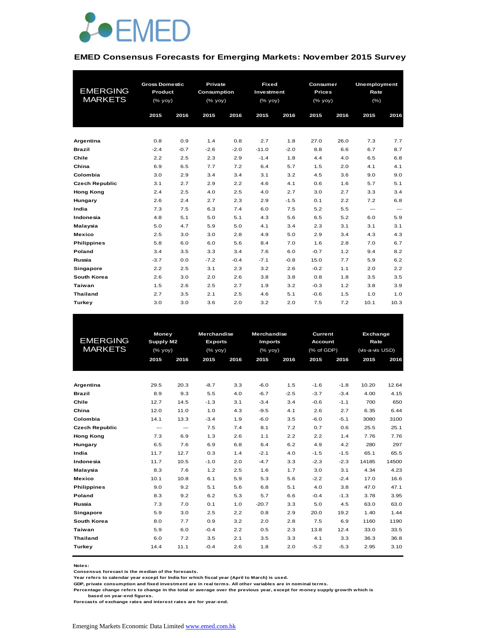

#### **EMED Consensus Forecasts for Emerging Markets: November 2015 Survey**

|                       |         | <b>Gross Domestic</b> |             | <b>Private</b> | <b>Fixed</b> |        | Consumer      |      | <b>Unemployment</b>    |          |
|-----------------------|---------|-----------------------|-------------|----------------|--------------|--------|---------------|------|------------------------|----------|
| <b>EMERGING</b>       | Product |                       | Consumption |                | Investment   |        | <b>Prices</b> |      | Rate                   |          |
| <b>MARKETS</b>        | (% yoy) |                       | (% yoy)     |                | (% yoy)      |        | $(%$ (% yoy)  |      | (% )                   |          |
|                       |         |                       |             |                |              |        |               |      |                        |          |
|                       | 2015    | 2016                  | 2015        | 2016           | 2015         | 2016   | 2015          | 2016 | 2015                   | 2016     |
|                       |         |                       |             |                |              |        |               |      |                        |          |
| Argentina             | 0.8     | 0.9                   | 1.4         | 0.8            | 2.7          | 1.8    | 27.0          | 26.0 | 7.3                    | 7.7      |
| <b>Brazil</b>         | $-2.4$  | $-0.7$                | $-2.6$      | $-2.0$         | $-11.0$      | $-2.0$ | 8.8           | 6.6  | 6.7                    | 8.7      |
| Chile                 | 2.2     | 2.5                   | 2.3         | 2.9            | $-1.4$       | 1.8    | 4.4           | 4.0  | 6.5                    | 6.8      |
| China                 | 6.9     | 6.5                   | 7.7         | 7.2            | 6.4          | 5.7    | 1.5           | 2.0  | 4.1                    | 4.1      |
| Colombia              | 3.0     | 2.9                   | 3.4         | 3.4            | 3.1          | 3.2    | 4.5           | 3.6  | 9.0                    | 9.0      |
| <b>Czech Republic</b> | 3.1     | 2.7                   | 2.9         | 2.2            | 4.6          | 4.1    | 0.6           | 1.6  | 5.7                    | 5.1      |
| <b>Hong Kong</b>      | 2.4     | 2.5                   | 4.0         | 2.5            | 4.0          | 2.7    | 3.0           | 2.7  | 3.3                    | 3.4      |
| Hungary               | 2.6     | 2.4                   | 2.7         | 2.3            | 2.9          | $-1.5$ | 0.1           | 2.2  | 7.2                    | 6.8      |
| India                 | 7.3     | 7.5                   | 6.3         | 7.4            | 6.0          | 7.5    | 5.2           | 5.5  | $\qquad \qquad \cdots$ | $\cdots$ |
| Indonesia             | 4.8     | 5.1                   | 5.0         | 5.1            | 4.3          | 5.6    | 6.5           | 5.2  | 6.0                    | 5.9      |
| Malaysia              | 5.0     | 4.7                   | 5.9         | 5.0            | 4.1          | 3.4    | 2.3           | 3.1  | 3.1                    | 3.1      |
| <b>Mexico</b>         | 2.5     | 3.0                   | 3.0         | 2.8            | 4.9          | 5.0    | 2.9           | 3.4  | 4.3                    | 4.3      |
| <b>Philippines</b>    | 5.8     | 6.0                   | 6.0         | 5.6            | 8.4          | 7.0    | 1.6           | 2.8  | 7.0                    | 6.7      |
| Poland                | 3.4     | 3.5                   | 3.3         | 3.4            | 7.6          | 6.0    | $-0.7$        | 1.2  | 9.4                    | 8.2      |
| Russia                | $-3.7$  | 0.0                   | $-7.2$      | $-0.4$         | $-7.1$       | $-0.8$ | 15.0          | 7.7  | 5.9                    | 6.2      |
| Singapore             | 2.2     | 2.5                   | 3.1         | 2.3            | 3.2          | 2.6    | $-0.2$        | 1.1  | 2.0                    | 2.2      |
| South Korea           | 2.6     | 3.0                   | 2.0         | 2.6            | 3.8          | 3.8    | 0.8           | 1.8  | 3.5                    | 3.5      |
| <b>Taiwan</b>         | 1.5     | 2.6                   | 2.5         | 2.7            | 1.9          | 3.2    | $-0.3$        | 1.2  | 3.8                    | 3.9      |
| <b>Thailand</b>       | 2.7     | 3.5                   | 2.1         | 2.5            | 4.6          | 5.1    | $-0.6$        | 1.5  | 1.0                    | 1.0      |
| Turkey                | 3.0     | 3.0                   | 3.6         | 2.0            | 3.2          | 2.0    | 7.5           | 7.2  | 10.1                   | 10.3     |

|                       |                    |                        | <b>Merchandise</b> |           | Merchandise    |        |                                  |        |                                                                                     |       |  |  |
|-----------------------|--------------------|------------------------|--------------------|-----------|----------------|--------|----------------------------------|--------|-------------------------------------------------------------------------------------|-------|--|--|
| <b>EMERGING</b>       | Money<br>Supply M2 |                        | <b>Exports</b>     |           | <b>Imports</b> |        | <b>Current</b><br><b>Account</b> |        | Exchange<br>Rate<br>(vis-a-vis USD)<br>2015<br>2016<br>10.20<br>4.00<br>700<br>6.35 |       |  |  |
| <b>MARKETS</b>        |                    |                        |                    | $(%$ yoy) |                |        | $(%$ (% yoy)                     |        | (% of GDP)                                                                          |       |  |  |
|                       | 2015               | 2016                   | $(\%$ yoy)<br>2015 | 2016      | 2015           | 2016   | 2015                             | 2016   |                                                                                     |       |  |  |
|                       |                    |                        |                    |           |                |        |                                  |        |                                                                                     |       |  |  |
|                       |                    |                        |                    |           |                |        |                                  |        |                                                                                     |       |  |  |
| Argentina             | 29.5               | 20.3                   | $-8.7$             | 3.3       | $-6.0$         | 1.5    | $-1.6$                           | $-1.8$ |                                                                                     | 12.64 |  |  |
| <b>Brazil</b>         | 8.9                | 9.3                    | 5.5                | 4.0       | $-6.7$         | $-2.5$ | $-3.7$                           | $-3.4$ |                                                                                     | 4.15  |  |  |
| Chile                 | 12.7               | 14.5                   | $-1.3$             | 3.1       | $-3.4$         | 3.4    | $-0.6$                           | $-1.1$ |                                                                                     | 650   |  |  |
| China                 | 12.0               | 11.0                   | 1.0                | 4.3       | $-9.5$         | 4.1    | 2.6                              | 2.7    |                                                                                     | 6.44  |  |  |
| Colombia              | 14.1               | 13.3                   | $-3.4$             | 1.9       | $-6.0$         | 3.5    | $-6.0$                           | $-5.1$ | 3080                                                                                | 3100  |  |  |
| <b>Czech Republic</b> | ---                | $\qquad \qquad \cdots$ | 7.5                | 7.4       | 8.1            | 7.2    | 0.7                              | 0.6    | 25.5                                                                                | 25.1  |  |  |
| <b>Hong Kong</b>      | 7.3                | 6.9                    | 1.3                | 2.6       | 1.1            | 2.2    | 2.2                              | 1.4    | 7.76                                                                                | 7.76  |  |  |
| Hungary               | 6.5                | 7.6                    | 6.9                | 6.8       | 6.4            | 6.2    | 4.9                              | 4.2    | 280                                                                                 | 297   |  |  |
| India                 | 11.7               | 12.7                   | 0.3                | 1.4       | $-2.1$         | 4.0    | $-1.5$                           | $-1.5$ | 65.1                                                                                | 65.5  |  |  |
| Indonesia             | 11.7               | 10.5                   | $-1.0$             | 2.0       | $-4.7$         | 3.3    | $-2.3$                           | $-2.3$ | 14185                                                                               | 14500 |  |  |
| Malaysia              | 8.3                | 7.6                    | 1.2                | 2.5       | 1.6            | 1.7    | 3.0                              | 3.1    | 4.34                                                                                | 4.23  |  |  |
| Mexico                | 10.1               | 10.8                   | 6.1                | 5.9       | 5.3            | 5.6    | $-2.2$                           | $-2.4$ | 17.0                                                                                | 16.6  |  |  |
| <b>Philippines</b>    | 9.0                | 9.2                    | 5.1                | 5.6       | 6.8            | 5.1    | 4.0                              | 3.8    | 47.0                                                                                | 47.1  |  |  |
| Poland                | 8.3                | 9.2                    | 6.2                | 5.3       | 5.7            | 6.6    | $-0.4$                           | $-1.3$ | 3.78                                                                                | 3.95  |  |  |
| Russia                | 7.3                | 7.0                    | 0.1                | 1.0       | $-20.7$        | 3.3    | 5.0                              | 4.5    | 63.0                                                                                | 63.0  |  |  |
| Singapore             | 5.9                | 3.0                    | 2.5                | 2.2       | 0.8            | 2.9    | 20.0                             | 19.2   | 1.40                                                                                | 1.44  |  |  |
| South Korea           | 8.0                | 7.7                    | 0.9                | 3.2       | 2.0            | 2.8    | 7.5                              | 6.9    | 1160                                                                                | 1190  |  |  |
| Taiwan                | 5.9                | 6.0                    | $-0.4$             | 2.2       | 0.5            | 2.3    | 13.8                             | 12.4   | 33.0                                                                                | 33.5  |  |  |
| <b>Thailand</b>       | 6.0                | 7.2                    | 3.5                | 2.1       | 3.5            | 3.3    | 4.1                              | 3.3    | 36.3                                                                                | 36.8  |  |  |
| Turkey                | 14.4               | 11.1                   | $-0.4$             | 2.6       | 1.8            | 2.0    | $-5.2$                           | $-5.3$ | 2.95                                                                                | 3.10  |  |  |
|                       |                    |                        |                    |           |                |        |                                  |        |                                                                                     |       |  |  |

**Notes:** 

**Consensus forecast is the median of the forecasts.**

**Year refers to calendar year except for India for which fiscal year (April to March) is used.**

**GDP, private consumption and fixed investment are in real terms. All other variables are in nominal terms.**

**Percentage change refers to change in the total or average over the previous year, except for money supply growth which is** 

 **based on year-end figures.**

**Forecasts of exchange rates and interest rates are for year-end.**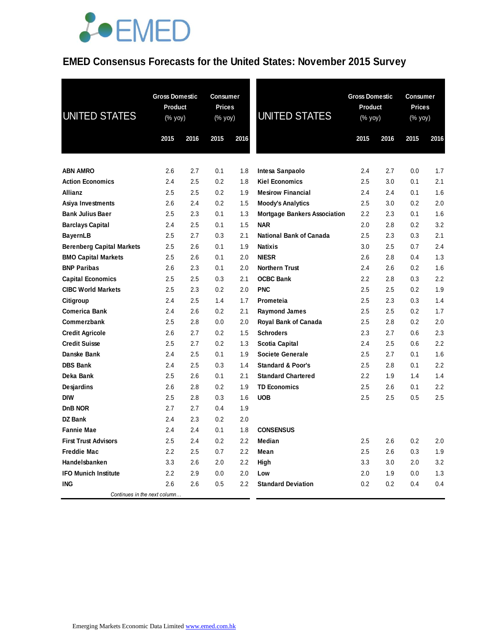#### **EMED Consensus Forecasts for the United States: November 2015 Survey**

| <b>UNITED STATES</b>                         | <b>Gross Domestic</b><br>Product<br>$(% \mathsf{Y}^{\prime }\mathsf{Y}^{\prime }\mathsf{Y}^{\prime })$ | <b>Gross Domestic</b><br><b>Consumer</b><br><b>Prices</b><br>Product<br><b>UNITED STATES</b><br>(% yoy)<br>(% yoy) |            |            | Consumer<br><b>Prices</b><br>(% yoy)              |            |            |            |            |
|----------------------------------------------|--------------------------------------------------------------------------------------------------------|--------------------------------------------------------------------------------------------------------------------|------------|------------|---------------------------------------------------|------------|------------|------------|------------|
|                                              | 2015                                                                                                   | 2016                                                                                                               | 2015       | 2016       |                                                   | 2015       | 2016       | 2015       | 2016       |
|                                              |                                                                                                        |                                                                                                                    |            |            |                                                   |            |            |            |            |
| <b>ABN AMRO</b><br><b>Action Economics</b>   | 2.6<br>2.4                                                                                             | 2.7<br>2.5                                                                                                         | 0.1<br>0.2 | 1.8<br>1.8 | Intesa Sanpaolo<br><b>Kiel Economics</b>          | 2.4<br>2.5 | 2.7<br>3.0 | 0.0<br>0.1 | 1.7<br>2.1 |
| <b>Allianz</b>                               | 2.5                                                                                                    | 2.5                                                                                                                | 0.2        | 1.9        | <b>Mesirow Financial</b>                          | 2.4        | 2.4        | 0.1        | 1.6        |
|                                              |                                                                                                        |                                                                                                                    | 0.2        |            |                                                   |            |            |            | 2.0        |
| Asiya Investments<br><b>Bank Julius Baer</b> | 2.6<br>2.5                                                                                             | 2.4<br>2.3                                                                                                         | 0.1        | 1.5<br>1.3 | <b>Moody's Analytics</b>                          | 2.5<br>2.2 | 3.0<br>2.3 | 0.2<br>0.1 | 1.6        |
| <b>Barclays Capital</b>                      | 2.4                                                                                                    | 2.5                                                                                                                | 0.1        | 1.5        | <b>Mortgage Bankers Association</b><br><b>NAR</b> | 2.0        | 2.8        | 0.2        | 3.2        |
| <b>BayernLB</b>                              | 2.5                                                                                                    | 2.7                                                                                                                | 0.3        | 2.1        | <b>National Bank of Canada</b>                    | 2.5        | 2.3        | 0.3        | 2.1        |
| <b>Berenberg Capital Markets</b>             | 2.5                                                                                                    | 2.6                                                                                                                | 0.1        | 1.9        | <b>Natixis</b>                                    | 3.0        | 2.5        | 0.7        | 2.4        |
| <b>BMO Capital Markets</b>                   | 2.5                                                                                                    | 2.6                                                                                                                | 0.1        | 2.0        | <b>NIESR</b>                                      | 2.6        | 2.8        | 0.4        | 1.3        |
| <b>BNP Paribas</b>                           | 2.6                                                                                                    | 2.3                                                                                                                | 0.1        | 2.0        | <b>Northern Trust</b>                             | 2.4        | 2.6        | 0.2        | 1.6        |
| <b>Capital Economics</b>                     | 2.5                                                                                                    | 2.5                                                                                                                | 0.3        | 2.1        | <b>OCBC Bank</b>                                  | 2.2        | 2.8        | 0.3        | 2.2        |
| <b>CIBC World Markets</b>                    | 2.5                                                                                                    | 2.3                                                                                                                | 0.2        | 2.0        | <b>PNC</b>                                        | 2.5        | 2.5        | 0.2        | 1.9        |
| Citigroup                                    | 2.4                                                                                                    | 2.5                                                                                                                | 1.4        | 1.7        | Prometeia                                         | 2.5        | 2.3        | 0.3        | 1.4        |
| <b>Comerica Bank</b>                         | 2.4                                                                                                    | 2.6                                                                                                                | 0.2        | 2.1        | <b>Raymond James</b>                              | 2.5        | 2.5        | 0.2        | 1.7        |
| Commerzbank                                  | 2.5                                                                                                    | 2.8                                                                                                                | 0.0        | 2.0        | Royal Bank of Canada                              | 2.5        | 2.8        | 0.2        | 2.0        |
| <b>Credit Agricole</b>                       | 2.6                                                                                                    | 2.7                                                                                                                | 0.2        | 1.5        | <b>Schroders</b>                                  | 2.3        | 2.7        | 0.6        | 2.3        |
| <b>Credit Suisse</b>                         | 2.5                                                                                                    | 2.7                                                                                                                | 0.2        | 1.3        | <b>Scotia Capital</b>                             | 2.4        | 2.5        | 0.6        | 2.2        |
| Danske Bank                                  | 2.4                                                                                                    | 2.5                                                                                                                | 0.1        | 1.9        | Societe Generale                                  | 2.5        | 2.7        | 0.1        | 1.6        |
| <b>DBS Bank</b>                              | 2.4                                                                                                    | 2.5                                                                                                                | 0.3        | 1.4        | <b>Standard &amp; Poor's</b>                      | 2.5        | 2.8        | 0.1        | 2.2        |
| Deka Bank                                    | 2.5                                                                                                    | 2.6                                                                                                                | 0.1        | 2.1        | <b>Standard Chartered</b>                         | 2.2        | 1.9        | 1.4        | 1.4        |
| Desjardins                                   | 2.6                                                                                                    | 2.8                                                                                                                | 0.2        | 1.9        | <b>TD Economics</b>                               | 2.5        | 2.6        | 0.1        | 2.2        |
| <b>DIW</b>                                   | 2.5                                                                                                    | 2.8                                                                                                                | 0.3        | 1.6        | <b>UOB</b>                                        | 2.5        | 2.5        | 0.5        | 2.5        |
| DnB NOR                                      | 2.7                                                                                                    | 2.7                                                                                                                | 0.4        | 1.9        |                                                   |            |            |            |            |
| <b>DZ Bank</b>                               | 2.4                                                                                                    | 2.3                                                                                                                | 0.2        | 2.0        |                                                   |            |            |            |            |
| <b>Fannie Mae</b>                            | 2.4                                                                                                    | 2.4                                                                                                                | 0.1        | 1.8        | <b>CONSENSUS</b>                                  |            |            |            |            |
| <b>First Trust Advisors</b>                  | 2.5                                                                                                    | 2.4                                                                                                                | $0.2\,$    | $2.2\,$    | Median                                            | 2.5        | 2.6        | 0.2        | 2.0        |
| <b>Freddie Mac</b>                           | 2.2                                                                                                    | 2.5                                                                                                                | 0.7        | 2.2        | Mean                                              | 2.5        | 2.6        | 0.3        | 1.9        |
| Handelsbanken                                | 3.3                                                                                                    | 2.6                                                                                                                | 2.0        | 2.2        | High                                              | 3.3        | 3.0        | 2.0        | 3.2        |
| <b>IFO Munich Institute</b>                  | 2.2                                                                                                    | 2.9                                                                                                                | 0.0        | 2.0        | Low                                               | 2.0        | 1.9        | 0.0        | 1.3        |
| ING                                          | 2.6                                                                                                    | 2.6                                                                                                                | 0.5        | $2.2\,$    | <b>Standard Deviation</b>                         | 0.2        | 0.2        | 0.4        | 0.4        |
| Continues in the next column                 |                                                                                                        |                                                                                                                    |            |            |                                                   |            |            |            |            |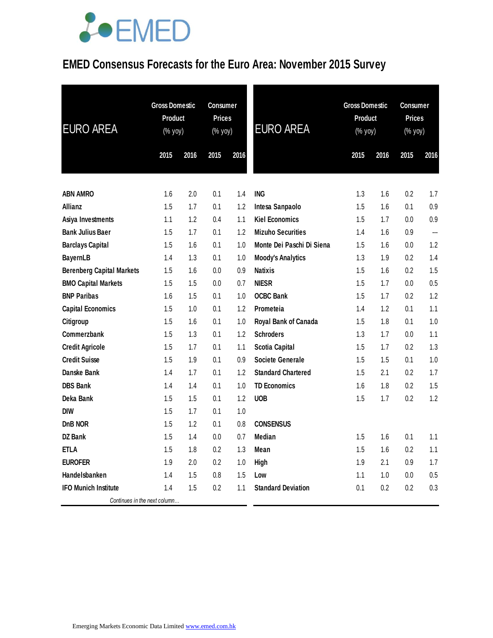### **EMED Consensus Forecasts for the Euro Area: November 2015 Survey**

| <b>EURO AREA</b>                 | <b>Gross Domestic</b><br><b>Product</b><br>(% yoy) |      | Consumer<br><b>Prices</b><br>(% yoy) |      | <b>EURO AREA</b>          | <b>Gross Domestic</b><br><b>Product</b><br>(% yoy) |      |      | <b>Consumer</b><br><b>Prices</b><br>$(% \mathsf{Y}^{\prime }\mathsf{Y}^{\prime }\mathsf{Y}^{\prime })$<br>2016 |  |
|----------------------------------|----------------------------------------------------|------|--------------------------------------|------|---------------------------|----------------------------------------------------|------|------|----------------------------------------------------------------------------------------------------------------|--|
|                                  | 2015                                               | 2016 | 2015                                 | 2016 |                           | 2015                                               | 2016 | 2015 |                                                                                                                |  |
|                                  |                                                    |      |                                      |      |                           |                                                    |      |      |                                                                                                                |  |
| <b>ABN AMRO</b>                  | 1.6                                                | 2.0  | 0.1                                  | 1.4  | <b>ING</b>                | 1.3                                                | 1.6  | 0.2  | 1.7                                                                                                            |  |
| Allianz                          | 1.5                                                | 1.7  | 0.1                                  | 1.2  | Intesa Sanpaolo           | 1.5                                                | 1.6  | 0.1  | 0.9                                                                                                            |  |
| Asiya Investments                | 1.1                                                | 1.2  | 0.4                                  | 1.1  | <b>Kiel Economics</b>     | 1.5                                                | 1.7  | 0.0  | $0.9\,$                                                                                                        |  |
| <b>Bank Julius Baer</b>          | 1.5                                                | 1.7  | 0.1                                  | 1.2  | <b>Mizuho Securities</b>  | 1.4                                                | 1.6  | 0.9  | ---                                                                                                            |  |
| <b>Barclays Capital</b>          | 1.5                                                | 1.6  | 0.1                                  | 1.0  | Monte Dei Paschi Di Siena | 1.5                                                | 1.6  | 0.0  | 1.2                                                                                                            |  |
| <b>BayernLB</b>                  | 1.4                                                | 1.3  | 0.1                                  | 1.0  | <b>Moody's Analytics</b>  | 1.3                                                | 1.9  | 0.2  | 1.4                                                                                                            |  |
| <b>Berenberg Capital Markets</b> | 1.5                                                | 1.6  | 0.0                                  | 0.9  | <b>Natixis</b>            | 1.5                                                | 1.6  | 0.2  | 1.5                                                                                                            |  |
| <b>BMO Capital Markets</b>       | 1.5                                                | 1.5  | 0.0                                  | 0.7  | <b>NIESR</b>              | 1.5                                                | 1.7  | 0.0  | 0.5                                                                                                            |  |
| <b>BNP Paribas</b>               | 1.6                                                | 1.5  | 0.1                                  | 1.0  | <b>OCBC Bank</b>          | 1.5                                                | 1.7  | 0.2  | 1.2                                                                                                            |  |
| <b>Capital Economics</b>         | 1.5                                                | 1.0  | 0.1                                  | 1.2  | Prometeia                 | 1.4                                                | 1.2  | 0.1  | 1.1                                                                                                            |  |
| Citigroup                        | 1.5                                                | 1.6  | 0.1                                  | 1.0  | Royal Bank of Canada      | 1.5                                                | 1.8  | 0.1  | 1.0                                                                                                            |  |
| Commerzbank                      | 1.5                                                | 1.3  | 0.1                                  | 1.2  | <b>Schroders</b>          | 1.3                                                | 1.7  | 0.0  | 1.1                                                                                                            |  |
| <b>Credit Agricole</b>           | 1.5                                                | 1.7  | 0.1                                  | 1.1  | <b>Scotia Capital</b>     | 1.5                                                | 1.7  | 0.2  | 1.3                                                                                                            |  |
| <b>Credit Suisse</b>             | 1.5                                                | 1.9  | 0.1                                  | 0.9  | <b>Societe Generale</b>   | 1.5                                                | 1.5  | 0.1  | 1.0                                                                                                            |  |
| <b>Danske Bank</b>               | 1.4                                                | 1.7  | 0.1                                  | 1.2  | <b>Standard Chartered</b> | 1.5                                                | 2.1  | 0.2  | 1.7                                                                                                            |  |
| <b>DBS Bank</b>                  | 1.4                                                | 1.4  | 0.1                                  | 1.0  | <b>TD Economics</b>       | 1.6                                                | 1.8  | 0.2  | 1.5                                                                                                            |  |
| Deka Bank                        | 1.5                                                | 1.5  | 0.1                                  | 1.2  | <b>UOB</b>                | 1.5                                                | 1.7  | 0.2  | 1.2                                                                                                            |  |
| <b>DIW</b>                       | 1.5                                                | 1.7  | 0.1                                  | 1.0  |                           |                                                    |      |      |                                                                                                                |  |
| DnB NOR                          | 1.5                                                | 1.2  | 0.1                                  | 0.8  | <b>CONSENSUS</b>          |                                                    |      |      |                                                                                                                |  |
| DZ Bank                          | 1.5                                                | 1.4  | 0.0                                  | 0.7  | <b>Median</b>             | 1.5                                                | 1.6  | 0.1  | 1.1                                                                                                            |  |
| <b>ETLA</b>                      | 1.5                                                | 1.8  | 0.2                                  | 1.3  | Mean                      | 1.5                                                | 1.6  | 0.2  | 1.1                                                                                                            |  |
| <b>EUROFER</b>                   | 1.9                                                | 2.0  | 0.2                                  | 1.0  | High                      | 1.9                                                | 2.1  | 0.9  | 1.7                                                                                                            |  |
| Handelsbanken                    | 1.4                                                | 1.5  | 0.8                                  | 1.5  | Low                       | 1.1                                                | 1.0  | 0.0  | 0.5                                                                                                            |  |
| <b>IFO Munich Institute</b>      | 1.4                                                | 1.5  | 0.2                                  | 1.1  | <b>Standard Deviation</b> | 0.1                                                | 0.2  | 0.2  | 0.3                                                                                                            |  |
| Continues in the next column     |                                                    |      |                                      |      |                           |                                                    |      |      |                                                                                                                |  |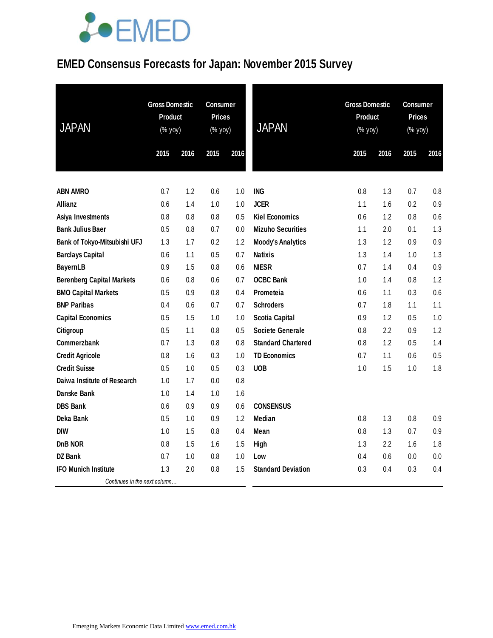### **EMED Consensus Forecasts for Japan: November 2015 Survey**

| <b>JAPAN</b>                     | <b>Gross Domestic</b><br><b>Product</b><br>(% yoy) |      | <b>Consumer</b><br><b>Prices</b><br>(% yoy) |      | <b>JAPAN</b>              | <b>Gross Domestic</b><br><b>Product</b><br>(% yoy) |         | <b>Consumer</b><br><b>Prices</b><br>(% yoy) |      |
|----------------------------------|----------------------------------------------------|------|---------------------------------------------|------|---------------------------|----------------------------------------------------|---------|---------------------------------------------|------|
|                                  | 2015                                               | 2016 | 2015                                        | 2016 |                           | 2015                                               | 2016    | 2015                                        | 2016 |
|                                  |                                                    |      |                                             |      |                           |                                                    |         |                                             |      |
| <b>ABN AMRO</b>                  | 0.7                                                | 1.2  | 0.6                                         | 1.0  | <b>ING</b>                | 0.8                                                | 1.3     | 0.7                                         | 0.8  |
| Allianz                          | 0.6                                                | 1.4  | 1.0                                         | 1.0  | <b>JCER</b>               | 1.1                                                | 1.6     | 0.2                                         | 0.9  |
| Asiya Investments                | 0.8                                                | 0.8  | 0.8                                         | 0.5  | <b>Kiel Economics</b>     | 0.6                                                | 1.2     | 0.8                                         | 0.6  |
| <b>Bank Julius Baer</b>          | 0.5                                                | 0.8  | 0.7                                         | 0.0  | <b>Mizuho Securities</b>  | 1.1                                                | 2.0     | 0.1                                         | 1.3  |
| Bank of Tokyo-Mitsubishi UFJ     | 1.3                                                | 1.7  | 0.2                                         | 1.2  | <b>Moody's Analytics</b>  | 1.3                                                | 1.2     | 0.9                                         | 0.9  |
| <b>Barclays Capital</b>          | 0.6                                                | 1.1  | 0.5                                         | 0.7  | <b>Natixis</b>            | 1.3                                                | 1.4     | 1.0                                         | 1.3  |
| <b>BayernLB</b>                  | 0.9                                                | 1.5  | 0.8                                         | 0.6  | <b>NIESR</b>              | 0.7                                                | 1.4     | 0.4                                         | 0.9  |
| <b>Berenberg Capital Markets</b> | 0.6                                                | 0.8  | 0.6                                         | 0.7  | <b>OCBC Bank</b>          | 1.0                                                | 1.4     | 0.8                                         | 1.2  |
| <b>BMO Capital Markets</b>       | 0.5                                                | 0.9  | 0.8                                         | 0.4  | Prometeia                 | 0.6                                                | 1.1     | 0.3                                         | 0.6  |
| <b>BNP Paribas</b>               | 0.4                                                | 0.6  | 0.7                                         | 0.7  | <b>Schroders</b>          | 0.7                                                | 1.8     | 1.1                                         | 1.1  |
| <b>Capital Economics</b>         | 0.5                                                | 1.5  | 1.0                                         | 1.0  | <b>Scotia Capital</b>     | 0.9                                                | 1.2     | 0.5                                         | 1.0  |
| Citigroup                        | 0.5                                                | 1.1  | 0.8                                         | 0.5  | <b>Societe Generale</b>   | 0.8                                                | 2.2     | 0.9                                         | 1.2  |
| Commerzbank                      | 0.7                                                | 1.3  | 0.8                                         | 0.8  | <b>Standard Chartered</b> | 0.8                                                | 1.2     | 0.5                                         | 1.4  |
| <b>Credit Agricole</b>           | 0.8                                                | 1.6  | 0.3                                         | 1.0  | <b>TD Economics</b>       | 0.7                                                | 1.1     | 0.6                                         | 0.5  |
| <b>Credit Suisse</b>             | 0.5                                                | 1.0  | 0.5                                         | 0.3  | <b>UOB</b>                | 1.0                                                | 1.5     | 1.0                                         | 1.8  |
| Daiwa Institute of Research      | 1.0                                                | 1.7  | 0.0                                         | 0.8  |                           |                                                    |         |                                             |      |
| Danske Bank                      | 1.0                                                | 1.4  | 1.0                                         | 1.6  |                           |                                                    |         |                                             |      |
| <b>DBS Bank</b>                  | 0.6                                                | 0.9  | 0.9                                         | 0.6  | <b>CONSENSUS</b>          |                                                    |         |                                             |      |
| Deka Bank                        | 0.5                                                | 1.0  | 0.9                                         | 1.2  | Median                    | 0.8                                                | 1.3     | 0.8                                         | 0.9  |
| <b>DIW</b>                       | 1.0                                                | 1.5  | 0.8                                         | 0.4  | Mean                      | 0.8                                                | 1.3     | 0.7                                         | 0.9  |
| DnB NOR                          | 0.8                                                | 1.5  | 1.6                                         | 1.5  | High                      | 1.3                                                | $2.2\,$ | 1.6                                         | 1.8  |
| <b>DZ Bank</b>                   | 0.7                                                | 1.0  | 0.8                                         | 1.0  | Low                       | 0.4                                                | 0.6     | 0.0                                         | 0.0  |
| <b>IFO Munich Institute</b>      | 1.3                                                | 2.0  | 0.8                                         | 1.5  | <b>Standard Deviation</b> | 0.3                                                | 0.4     | 0.3                                         | 0.4  |
| Continues in the next column     |                                                    |      |                                             |      |                           |                                                    |         |                                             |      |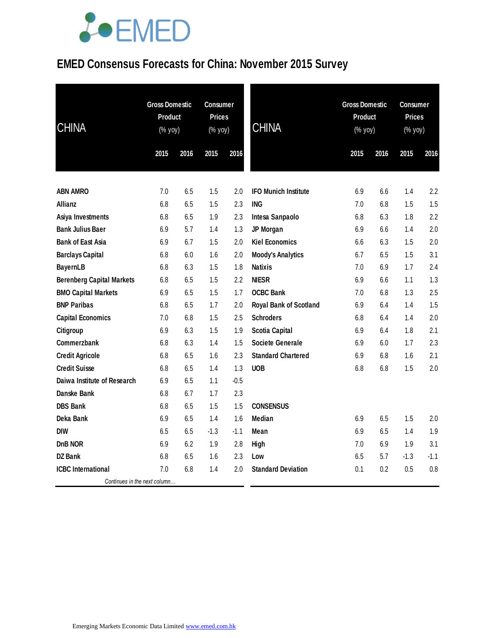#### **EMED Consensus Forecasts for China: November 2015 Survey**

| <b>CHINA</b>                     | <b>Gross Domestic</b><br><b>Product</b><br>$(% \mathsf{Y}^{\prime }\mathsf{Y}^{\prime }\mathsf{Y}^{\prime })$ |      | <b>Consumer</b><br><b>Prices</b><br>(% yoy) |        | <b>CHINA</b>                  | <b>Gross Domestic</b><br><b>Product</b><br>(% yoy) |      | <b>Consumer</b><br><b>Prices</b><br>(% yoy) |        |
|----------------------------------|---------------------------------------------------------------------------------------------------------------|------|---------------------------------------------|--------|-------------------------------|----------------------------------------------------|------|---------------------------------------------|--------|
|                                  | 2015                                                                                                          | 2016 | 2015                                        | 2016   |                               | 2015                                               | 2016 | 2015                                        | 2016   |
|                                  |                                                                                                               |      |                                             |        |                               |                                                    |      |                                             |        |
| <b>ABN AMRO</b>                  | 7.0                                                                                                           | 6.5  | 1.5                                         | 2.0    | <b>IFO Munich Institute</b>   | 6.9                                                | 6.6  | 1.4                                         | 2.2    |
| <b>Allianz</b>                   | 6.8                                                                                                           | 6.5  | 1.5                                         | 2.3    | <b>ING</b>                    | 7.0                                                | 6.8  | 1.5                                         | 1.5    |
| Asiya Investments                | 6.8                                                                                                           | 6.5  | 1.9                                         | 2.3    | Intesa Sanpaolo               | 6.8                                                | 6.3  | 1.8                                         | 2.2    |
| <b>Bank Julius Baer</b>          | 6.9                                                                                                           | 5.7  | 1.4                                         | 1.3    | JP Morgan                     | 6.9                                                | 6.6  | 1.4                                         | 2.0    |
| <b>Bank of East Asia</b>         | 6.9                                                                                                           | 6.7  | 1.5                                         | 2.0    | <b>Kiel Economics</b>         | 6.6                                                | 6.3  | 1.5                                         | 2.0    |
| <b>Barclays Capital</b>          | 6.8                                                                                                           | 6.0  | 1.6                                         | 2.0    | <b>Moody's Analytics</b>      | 6.7                                                | 6.5  | 1.5                                         | 3.1    |
| <b>BayernLB</b>                  | 6.8                                                                                                           | 6.3  | 1.5                                         | 1.8    | <b>Natixis</b>                | 7.0                                                | 6.9  | 1.7                                         | 2.4    |
| <b>Berenberg Capital Markets</b> | 6.8                                                                                                           | 6.5  | 1.5                                         | 2.2    | <b>NIESR</b>                  | 6.9                                                | 6.6  | 1.1                                         | 1.3    |
| <b>BMO Capital Markets</b>       | 6.9                                                                                                           | 6.5  | 1.5                                         | 1.7    | <b>OCBC Bank</b>              | 7.0                                                | 6.8  | 1.3                                         | 2.5    |
| <b>BNP Paribas</b>               | 6.8                                                                                                           | 6.5  | 1.7                                         | 2.0    | <b>Royal Bank of Scotland</b> | 6.9                                                | 6.4  | 1.4                                         | 1.5    |
| <b>Capital Economics</b>         | 7.0                                                                                                           | 6.8  | 1.5                                         | 2.5    | <b>Schroders</b>              | 6.8                                                | 6.4  | 1.4                                         | 2.0    |
| Citigroup                        | 6.9                                                                                                           | 6.3  | 1.5                                         | 1.9    | <b>Scotia Capital</b>         | 6.9                                                | 6.4  | 1.8                                         | 2.1    |
| Commerzbank                      | 6.8                                                                                                           | 6.3  | 1.4                                         | 1.5    | <b>Societe Generale</b>       | 6.9                                                | 6.0  | 1.7                                         | 2.3    |
| <b>Credit Agricole</b>           | 6.8                                                                                                           | 6.5  | 1.6                                         | 2.3    | <b>Standard Chartered</b>     | 6.9                                                | 6.8  | 1.6                                         | 2.1    |
| <b>Credit Suisse</b>             | 6.8                                                                                                           | 6.5  | 1.4                                         | 1.3    | <b>UOB</b>                    | 6.8                                                | 6.8  | 1.5                                         | 2.0    |
| Daiwa Institute of Research      | 6.9                                                                                                           | 6.5  | 1.1                                         | $-0.5$ |                               |                                                    |      |                                             |        |
| Danske Bank                      | 6.8                                                                                                           | 6.7  | 1.7                                         | 2.3    |                               |                                                    |      |                                             |        |
| <b>DBS Bank</b>                  | 6.8                                                                                                           | 6.5  | 1.5                                         | 1.5    | <b>CONSENSUS</b>              |                                                    |      |                                             |        |
| Deka Bank                        | 6.9                                                                                                           | 6.5  | 1.4                                         | 1.6    | Median                        | 6.9                                                | 6.5  | 1.5                                         | 2.0    |
| <b>DIW</b>                       | 6.5                                                                                                           | 6.5  | $-1.3$                                      | $-1.1$ | Mean                          | 6.9                                                | 6.5  | 1.4                                         | 1.9    |
| DnB NOR                          | 6.9                                                                                                           | 6.2  | 1.9                                         | 2.8    | High                          | 7.0                                                | 6.9  | 1.9                                         | 3.1    |
| <b>DZ</b> Bank                   | 6.8                                                                                                           | 6.5  | 1.6                                         | 2.3    | Low                           | 6.5                                                | 5.7  | $-1.3$                                      | $-1.1$ |
| <b>ICBC</b> International        | 7.0                                                                                                           | 6.8  | 1.4                                         | 2.0    | <b>Standard Deviation</b>     | 0.1                                                | 0.2  | 0.5                                         | 0.8    |
| Continues in the next column     |                                                                                                               |      |                                             |        |                               |                                                    |      |                                             |        |